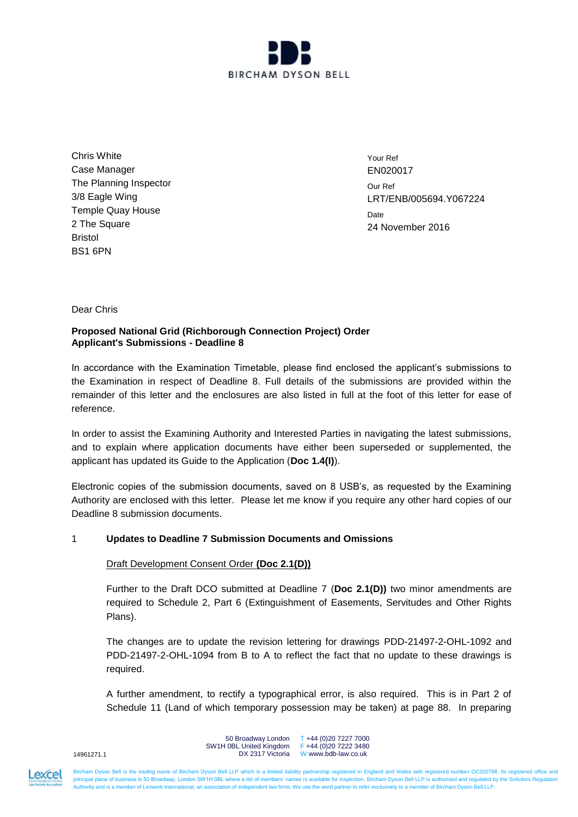

Chris White Case Manager The Planning Inspector 3/8 Eagle Wing Temple Quay House 2 The Square Bristol BS1 6PN

Your Ref EN020017 Our Ref LRT/ENB/005694.Y067224 **Date** 24 November 2016

Dear Chris

## **Proposed National Grid (Richborough Connection Project) Order Applicant's Submissions - Deadline 8**

In accordance with the Examination Timetable, please find enclosed the applicant's submissions to the Examination in respect of Deadline 8. Full details of the submissions are provided within the remainder of this letter and the enclosures are also listed in full at the foot of this letter for ease of reference.

In order to assist the Examining Authority and Interested Parties in navigating the latest submissions, and to explain where application documents have either been superseded or supplemented, the applicant has updated its Guide to the Application (**Doc 1.4(I)**).

Electronic copies of the submission documents, saved on 8 USB's, as requested by the Examining Authority are enclosed with this letter. Please let me know if you require any other hard copies of our Deadline 8 submission documents.

# 1 **Updates to Deadline 7 Submission Documents and Omissions**

# Draft Development Consent Order **(Doc 2.1(D))**

Further to the Draft DCO submitted at Deadline 7 (**Doc 2.1(D))** two minor amendments are required to Schedule 2, Part 6 (Extinguishment of Easements, Servitudes and Other Rights Plans).

The changes are to update the revision lettering for drawings PDD-21497-2-OHL-1092 and PDD-21497-2-OHL-1094 from B to A to reflect the fact that no update to these drawings is required.

A further amendment, to rectify a typographical error, is also required. This is in Part 2 of Schedule 11 (Land of which temporary possession may be taken) at page 88. In preparing

14961271.1

50 Broadway London T +44 (0)20 7227 7000 SW1H 0BL United Kingdom DX 2317 Victoria W www.bdb-law.co.uk  $F + 44 (0)20 7222 3480$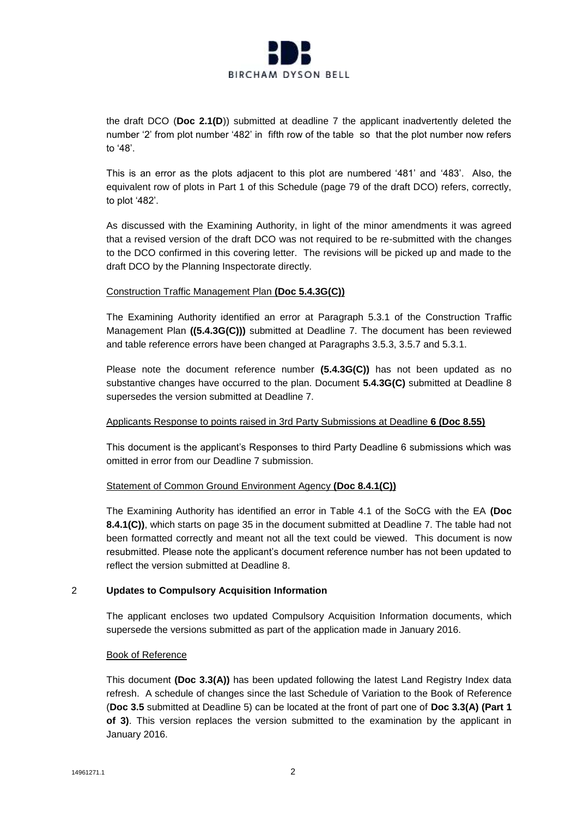

the draft DCO (**Doc 2.1(D**)) submitted at deadline 7 the applicant inadvertently deleted the number '2' from plot number '482' in fifth row of the table so that the plot number now refers to '48'.

This is an error as the plots adjacent to this plot are numbered '481' and '483'. Also, the equivalent row of plots in Part 1 of this Schedule (page 79 of the draft DCO) refers, correctly, to plot '482'.

As discussed with the Examining Authority, in light of the minor amendments it was agreed that a revised version of the draft DCO was not required to be re-submitted with the changes to the DCO confirmed in this covering letter. The revisions will be picked up and made to the draft DCO by the Planning Inspectorate directly.

## Construction Traffic Management Plan **(Doc 5.4.3G(C))**

The Examining Authority identified an error at Paragraph 5.3.1 of the Construction Traffic Management Plan **((5.4.3G(C)))** submitted at Deadline 7. The document has been reviewed and table reference errors have been changed at Paragraphs 3.5.3, 3.5.7 and 5.3.1.

Please note the document reference number **(5.4.3G(C))** has not been updated as no substantive changes have occurred to the plan. Document **5.4.3G(C)** submitted at Deadline 8 supersedes the version submitted at Deadline 7.

## Applicants Response to points raised in 3rd Party Submissions at Deadline **6 (Doc 8.55)**

This document is the applicant's Responses to third Party Deadline 6 submissions which was omitted in error from our Deadline 7 submission.

# Statement of Common Ground Environment Agency **(Doc 8.4.1(C))**

The Examining Authority has identified an error in Table 4.1 of the SoCG with the EA **(Doc 8.4.1(C))**, which starts on page 35 in the document submitted at Deadline 7. The table had not been formatted correctly and meant not all the text could be viewed. This document is now resubmitted. Please note the applicant's document reference number has not been updated to reflect the version submitted at Deadline 8.

# 2 **Updates to Compulsory Acquisition Information**

The applicant encloses two updated Compulsory Acquisition Information documents, which supersede the versions submitted as part of the application made in January 2016.

## Book of Reference

This document **(Doc 3.3(A))** has been updated following the latest Land Registry Index data refresh. A schedule of changes since the last Schedule of Variation to the Book of Reference (**Doc 3.5** submitted at Deadline 5) can be located at the front of part one of **Doc 3.3(A) (Part 1 of 3)**. This version replaces the version submitted to the examination by the applicant in January 2016.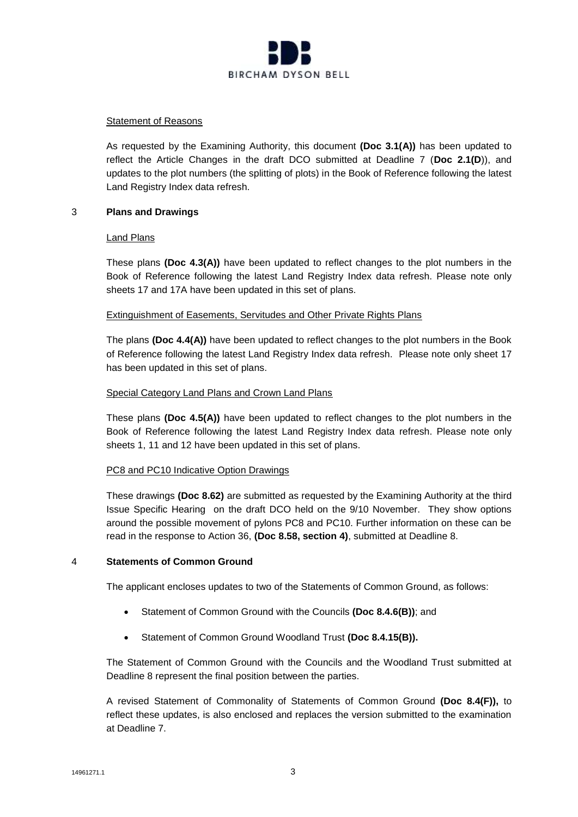

## Statement of Reasons

As requested by the Examining Authority, this document **(Doc 3.1(A))** has been updated to reflect the Article Changes in the draft DCO submitted at Deadline 7 (**Doc 2.1(D**)), and updates to the plot numbers (the splitting of plots) in the Book of Reference following the latest Land Registry Index data refresh.

## 3 **Plans and Drawings**

## Land Plans

These plans **(Doc 4.3(A))** have been updated to reflect changes to the plot numbers in the Book of Reference following the latest Land Registry Index data refresh. Please note only sheets 17 and 17A have been updated in this set of plans.

## Extinguishment of Easements, Servitudes and Other Private Rights Plans

The plans **(Doc 4.4(A))** have been updated to reflect changes to the plot numbers in the Book of Reference following the latest Land Registry Index data refresh. Please note only sheet 17 has been updated in this set of plans.

## Special Category Land Plans and Crown Land Plans

These plans **(Doc 4.5(A))** have been updated to reflect changes to the plot numbers in the Book of Reference following the latest Land Registry Index data refresh. Please note only sheets 1, 11 and 12 have been updated in this set of plans.

# PC8 and PC10 Indicative Option Drawings

These drawings **(Doc 8.62)** are submitted as requested by the Examining Authority at the third Issue Specific Hearing on the draft DCO held on the 9/10 November. They show options around the possible movement of pylons PC8 and PC10. Further information on these can be read in the response to Action 36, **(Doc 8.58, section 4)**, submitted at Deadline 8.

## 4 **Statements of Common Ground**

The applicant encloses updates to two of the Statements of Common Ground, as follows:

- Statement of Common Ground with the Councils **(Doc 8.4.6(B))**; and
- Statement of Common Ground Woodland Trust **(Doc 8.4.15(B)).**

The Statement of Common Ground with the Councils and the Woodland Trust submitted at Deadline 8 represent the final position between the parties.

A revised Statement of Commonality of Statements of Common Ground **(Doc 8.4(F)),** to reflect these updates, is also enclosed and replaces the version submitted to the examination at Deadline 7.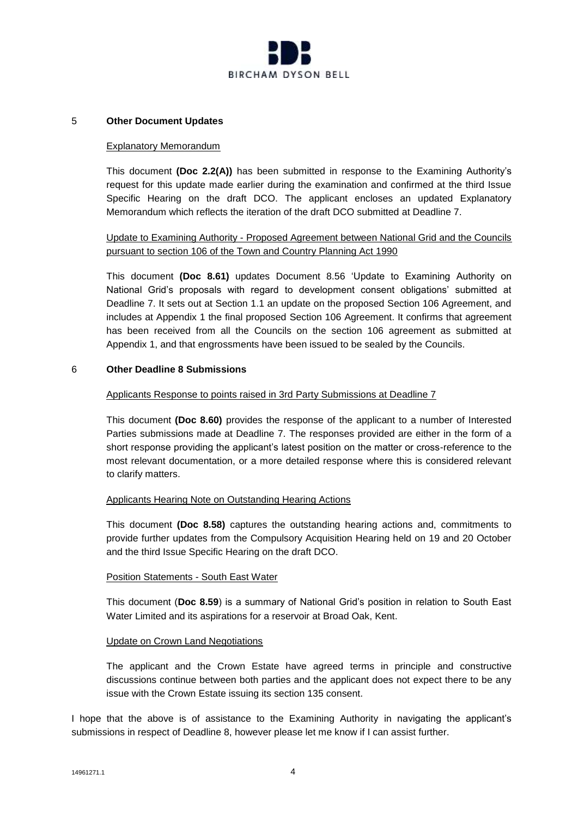

## 5 **Other Document Updates**

## Explanatory Memorandum

This document **(Doc 2.2(A))** has been submitted in response to the Examining Authority's request for this update made earlier during the examination and confirmed at the third Issue Specific Hearing on the draft DCO. The applicant encloses an updated Explanatory Memorandum which reflects the iteration of the draft DCO submitted at Deadline 7.

# Update to Examining Authority - Proposed Agreement between National Grid and the Councils pursuant to section 106 of the Town and Country Planning Act 1990

This document **(Doc 8.61)** updates Document 8.56 'Update to Examining Authority on National Grid's proposals with regard to development consent obligations' submitted at Deadline 7. It sets out at Section 1.1 an update on the proposed Section 106 Agreement, and includes at Appendix 1 the final proposed Section 106 Agreement. It confirms that agreement has been received from all the Councils on the section 106 agreement as submitted at Appendix 1, and that engrossments have been issued to be sealed by the Councils.

## 6 **Other Deadline 8 Submissions**

## Applicants Response to points raised in 3rd Party Submissions at Deadline 7

This document **(Doc 8.60)** provides the response of the applicant to a number of Interested Parties submissions made at Deadline 7. The responses provided are either in the form of a short response providing the applicant's latest position on the matter or cross-reference to the most relevant documentation, or a more detailed response where this is considered relevant to clarify matters.

## Applicants Hearing Note on Outstanding Hearing Actions

This document **(Doc 8.58)** captures the outstanding hearing actions and, commitments to provide further updates from the Compulsory Acquisition Hearing held on 19 and 20 October and the third Issue Specific Hearing on the draft DCO.

## Position Statements - South East Water

This document (**Doc 8.59**) is a summary of National Grid's position in relation to South East Water Limited and its aspirations for a reservoir at Broad Oak, Kent.

## Update on Crown Land Negotiations

The applicant and the Crown Estate have agreed terms in principle and constructive discussions continue between both parties and the applicant does not expect there to be any issue with the Crown Estate issuing its section 135 consent.

I hope that the above is of assistance to the Examining Authority in navigating the applicant's submissions in respect of Deadline 8, however please let me know if I can assist further.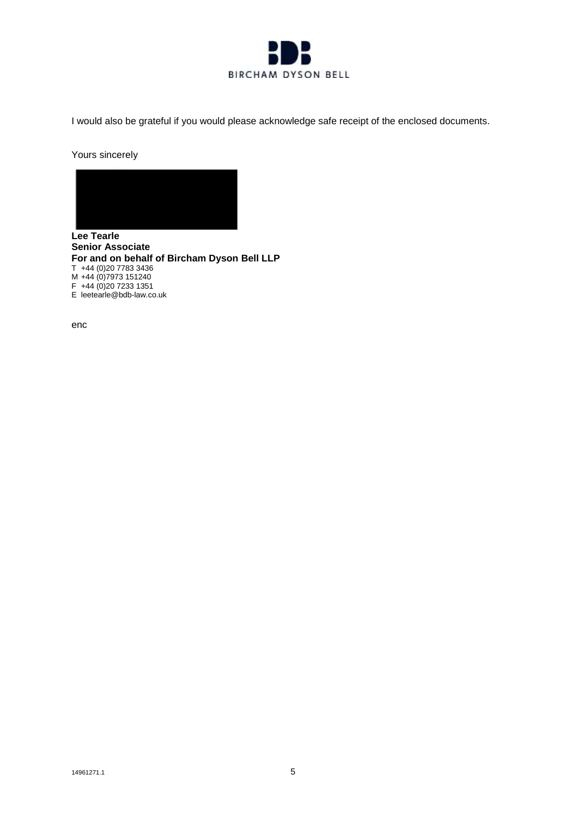

I would also be grateful if you would please acknowledge safe receipt of the enclosed documents.

Yours sincerely



**Lee Tearle Senior Associate For and on behalf of Bircham Dyson Bell LLP**  T +44 (0)20 7783 3436 M +44 (0)7973 151240 F +44 (0)20 7233 1351 E leetearle@bdb-law.co.uk

enc